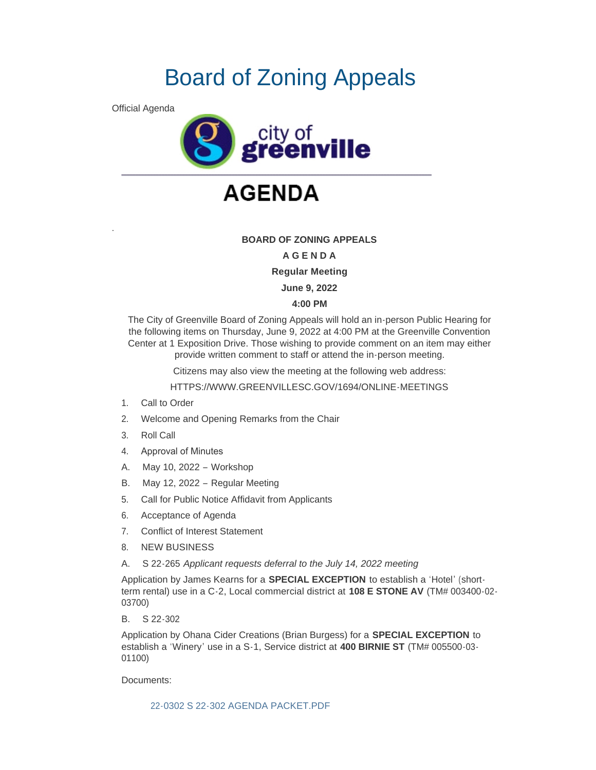# Board of Zoning Appeals

Official Agenda

.



## **AGENDA**

### **BOARD OF ZONING APPEALS**

#### **A G E N D A**

**Regular Meeting**

**June 9, 2022**

#### **4:00 PM**

The City of Greenville Board of Zoning Appeals will hold an in-person Public Hearing for the following items on Thursday, June 9, 2022 at 4:00 PM at the Greenville Convention Center at 1 Exposition Drive. Those wishing to provide comment on an item may either provide written comment to staff or attend the in-person meeting.

Citizens may also view the meeting at the following web address:

HTTPS://WWW.GREENVILLESC.GOV/1694/ONLINE-MEETINGS

- 1. Call to Order
- 2. Welcome and Opening Remarks from the Chair
- 3. Roll Call
- 4. Approval of Minutes
- A. May 10, 2022 Workshop
- B. May 12, 2022 Regular Meeting
- 5. Call for Public Notice Affidavit from Applicants
- 6. Acceptance of Agenda
- 7. Conflict of Interest Statement
- 8. NEW BUSINESS
- A. S 22-265 *Applicant requests deferral to the July 14, 2022 meeting*

Application by James Kearns for a **SPECIAL EXCEPTION** to establish a 'Hotel' (shortterm rental) use in a C-2, Local commercial district at **108 E STONE AV** (TM# 003400-02- 03700)

B. S 22-302

Application by Ohana Cider Creations (Brian Burgess) for a **SPECIAL EXCEPTION** to establish a 'Winery' use in a S-1, Service district at **400 BIRNIE ST** (TM# 005500-03- 01100)

Documents:

[22-0302 S 22-302 AGENDA PACKET.PDF](https://greenvillesc.gov/AgendaCenter/ViewFile/Item/9651?fileID=53142)